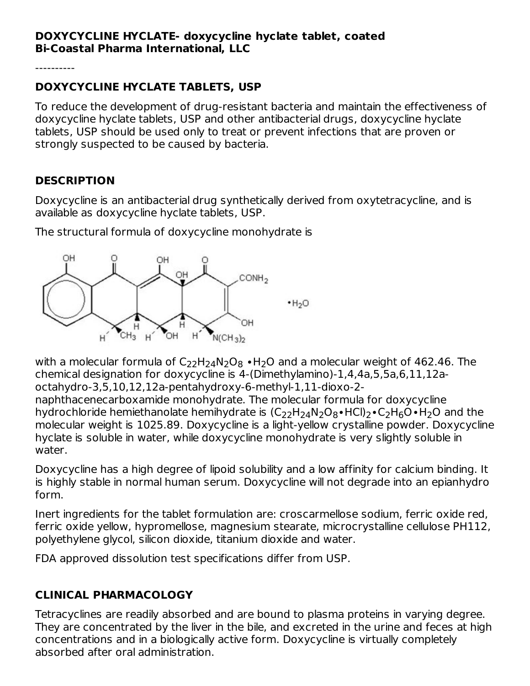#### **DOXYCYCLINE HYCLATE- doxycycline hyclate tablet, coated Bi-Coastal Pharma International, LLC**

----------

## **DOXYCYCLINE HYCLATE TABLETS, USP**

To reduce the development of drug-resistant bacteria and maintain the effectiveness of doxycycline hyclate tablets, USP and other antibacterial drugs, doxycycline hyclate tablets, USP should be used only to treat or prevent infections that are proven or strongly suspected to be caused by bacteria.

# **DESCRIPTION**

Doxycycline is an antibacterial drug synthetically derived from oxytetracycline, and is available as doxycycline hyclate tablets, USP.

The structural formula of doxycycline monohydrate is



with a molecular formula of C<sub>22</sub>H<sub>24</sub>N<sub>2</sub>O<sub>8</sub> •H<sub>2</sub>O and a molecular weight of 462.46. The chemical designation for doxycycline is 4-(Dimethylamino)-1,4,4a,5,5a,6,11,12aoctahydro-3,5,10,12,12a-pentahydroxy-6-methyl-1,11-dioxo-2-

naphthacenecarboxamide monohydrate. The molecular formula for doxycycline hydrochloride hemiethanolate hemihydrate is  $(\mathsf{C}_{22}\mathsf{H}_{24}\mathsf{N}_2\mathsf{O}_8\bullet\mathsf{HCl})_2\bullet \mathsf{C}_2\mathsf{H}_6\mathsf{O}\bullet\mathsf{H}_2\mathsf{O}$  and the molecular weight is 1025.89. Doxycycline is a light-yellow crystalline powder. Doxycycline hyclate is soluble in water, while doxycycline monohydrate is very slightly soluble in water.

Doxycycline has a high degree of lipoid solubility and a low affinity for calcium binding. It is highly stable in normal human serum. Doxycycline will not degrade into an epianhydro form.

Inert ingredients for the tablet formulation are: croscarmellose sodium, ferric oxide red, ferric oxide yellow, hypromellose, magnesium stearate, microcrystalline cellulose PH112, polyethylene glycol, silicon dioxide, titanium dioxide and water.

FDA approved dissolution test specifications differ from USP.

### **CLINICAL PHARMACOLOGY**

Tetracyclines are readily absorbed and are bound to plasma proteins in varying degree. They are concentrated by the liver in the bile, and excreted in the urine and feces at high concentrations and in a biologically active form. Doxycycline is virtually completely absorbed after oral administration.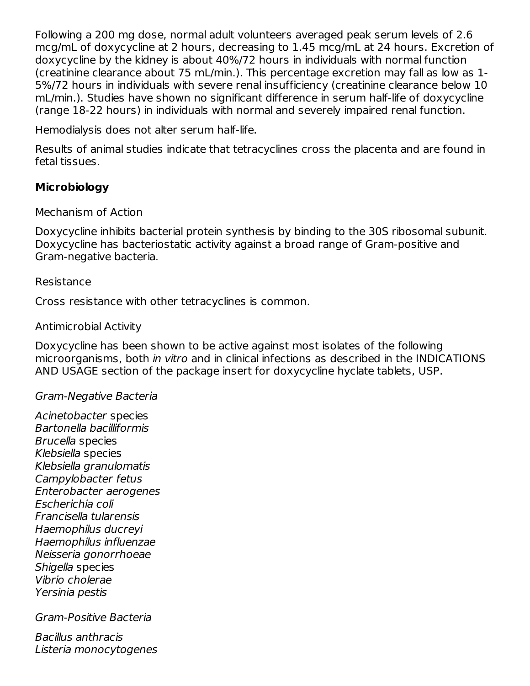Following a 200 mg dose, normal adult volunteers averaged peak serum levels of 2.6 mcg/mL of doxycycline at 2 hours, decreasing to 1.45 mcg/mL at 24 hours. Excretion of doxycycline by the kidney is about 40%/72 hours in individuals with normal function (creatinine clearance about 75 mL/min.). This percentage excretion may fall as low as 1- 5%/72 hours in individuals with severe renal insufficiency (creatinine clearance below 10 mL/min.). Studies have shown no significant difference in serum half-life of doxycycline (range 18-22 hours) in individuals with normal and severely impaired renal function.

Hemodialysis does not alter serum half-life.

Results of animal studies indicate that tetracyclines cross the placenta and are found in fetal tissues.

### **Microbiology**

Mechanism of Action

Doxycycline inhibits bacterial protein synthesis by binding to the 30S ribosomal subunit. Doxycycline has bacteriostatic activity against a broad range of Gram-positive and Gram-negative bacteria.

#### Resistance

Cross resistance with other tetracyclines is common.

#### Antimicrobial Activity

Doxycycline has been shown to be active against most isolates of the following microorganisms, both in vitro and in clinical infections as described in the INDICATIONS AND USAGE section of the package insert for doxycycline hyclate tablets, USP.

#### Gram-Negative Bacteria

Acinetobacter species Bartonella bacilliformis Brucella species Klebsiella species Klebsiella granulomatis Campylobacter fetus Enterobacter aerogenes Escherichia coli Francisella tularensis Haemophilus ducreyi Haemophilus influenzae Neisseria gonorrhoeae Shigella species Vibrio cholerae Yersinia pestis

Gram-Positive Bacteria

Bacillus anthracis Listeria monocytogenes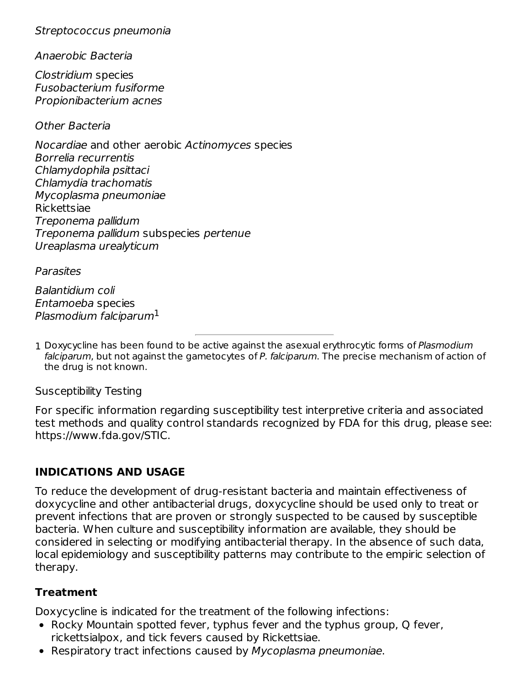Streptococcus pneumonia

Anaerobic Bacteria

Clostridium species Fusobacterium fusiforme Propionibacterium acnes

Other Bacteria

Nocardiae and other aerobic Actinomyces species Borrelia recurrentis Chlamydophila psittaci Chlamydia trachomatis Mycoplasma pneumoniae Rickettsiae Treponema pallidum Treponema pallidum subspecies pertenue Ureaplasma urealyticum

**Parasites** 

Balantidium coli Entamoeba species Plasmodium falciparum $^1$ 

1 Doxycycline has been found to be active against the asexual erythrocytic forms of Plasmodium falciparum, but not against the gametocytes of P. falciparum. The precise mechanism of action of the drug is not known.

Susceptibility Testing

For specific information regarding susceptibility test interpretive criteria and associated test methods and quality control standards recognized by FDA for this drug, please see: https://www.fda.gov/STIC.

### **INDICATIONS AND USAGE**

To reduce the development of drug-resistant bacteria and maintain effectiveness of doxycycline and other antibacterial drugs, doxycycline should be used only to treat or prevent infections that are proven or strongly suspected to be caused by susceptible bacteria. When culture and susceptibility information are available, they should be considered in selecting or modifying antibacterial therapy. In the absence of such data, local epidemiology and susceptibility patterns may contribute to the empiric selection of therapy.

### **Treatment**

Doxycycline is indicated for the treatment of the following infections:

- Rocky Mountain spotted fever, typhus fever and the typhus group, Q fever, rickettsialpox, and tick fevers caused by Rickettsiae.
- Respiratory tract infections caused by Mycoplasma pneumoniae.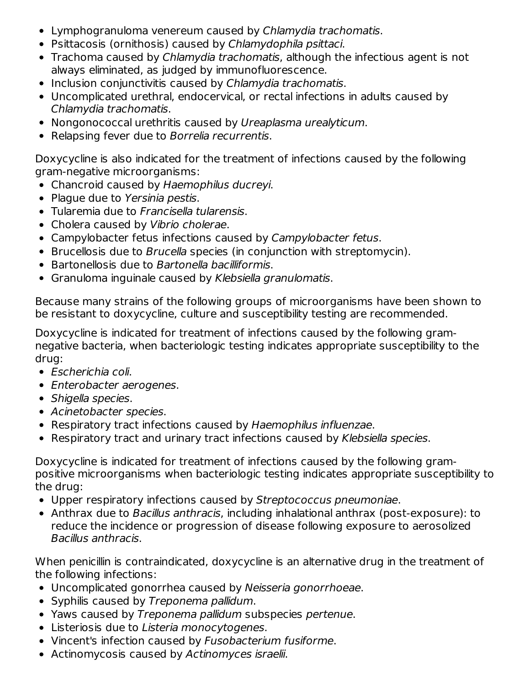- Lymphogranuloma venereum caused by Chlamydia trachomatis.
- Psittacosis (ornithosis) caused by Chlamydophila psittaci.
- Trachoma caused by Chlamydia trachomatis, although the infectious agent is not always eliminated, as judged by immunofluorescence.
- Inclusion conjunctivitis caused by Chlamydia trachomatis.
- Uncomplicated urethral, endocervical, or rectal infections in adults caused by Chlamydia trachomatis.
- Nongonococcal urethritis caused by Ureaplasma urealyticum.
- Relapsing fever due to Borrelia recurrentis.

Doxycycline is also indicated for the treatment of infections caused by the following gram-negative microorganisms:

- Chancroid caused by Haemophilus ducreyi.
- Plague due to Yersinia pestis.
- Tularemia due to Francisella tularensis.
- Cholera caused by Vibrio cholerae.
- Campylobacter fetus infections caused by Campylobacter fetus.
- Brucellosis due to *Brucella* species (in conjunction with streptomycin).
- Bartonellosis due to Bartonella bacilliformis.
- Granuloma inguinale caused by Klebsiella granulomatis.

Because many strains of the following groups of microorganisms have been shown to be resistant to doxycycline, culture and susceptibility testing are recommended.

Doxycycline is indicated for treatment of infections caused by the following gramnegative bacteria, when bacteriologic testing indicates appropriate susceptibility to the drug:

- Escherichia coli.
- Enterobacter aerogenes.
- Shigella species.
- Acinetobacter species.
- Respiratory tract infections caused by Haemophilus influenzae.
- Respiratory tract and urinary tract infections caused by Klebsiella species.

Doxycycline is indicated for treatment of infections caused by the following grampositive microorganisms when bacteriologic testing indicates appropriate susceptibility to the drug:

- Upper respiratory infections caused by Streptococcus pneumoniae.
- Anthrax due to *Bacillus anthracis*, including inhalational anthrax (post-exposure): to reduce the incidence or progression of disease following exposure to aerosolized Bacillus anthracis.

When penicillin is contraindicated, doxycycline is an alternative drug in the treatment of the following infections:

- Uncomplicated gonorrhea caused by Neisseria gonorrhoeae.
- Syphilis caused by Treponema pallidum.
- Yaws caused by Treponema pallidum subspecies pertenue.
- Listeriosis due to Listeria monocytogenes.
- Vincent's infection caused by Fusobacterium fusiforme.
- Actinomycosis caused by Actinomyces israelii.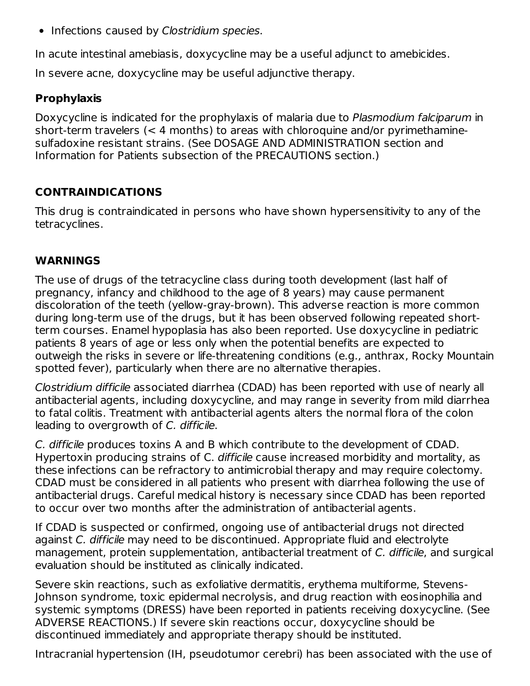• Infections caused by Clostridium species.

In acute intestinal amebiasis, doxycycline may be a useful adjunct to amebicides.

In severe acne, doxycycline may be useful adjunctive therapy.

### **Prophylaxis**

Doxycycline is indicated for the prophylaxis of malaria due to Plasmodium falciparum in short-term travelers (< 4 months) to areas with chloroquine and/or pyrimethaminesulfadoxine resistant strains. (See DOSAGE AND ADMINISTRATION section and Information for Patients subsection of the PRECAUTIONS section.)

## **CONTRAINDICATIONS**

This drug is contraindicated in persons who have shown hypersensitivity to any of the tetracyclines.

### **WARNINGS**

The use of drugs of the tetracycline class during tooth development (last half of pregnancy, infancy and childhood to the age of 8 years) may cause permanent discoloration of the teeth (yellow-gray-brown). This adverse reaction is more common during long-term use of the drugs, but it has been observed following repeated shortterm courses. Enamel hypoplasia has also been reported. Use doxycycline in pediatric patients 8 years of age or less only when the potential benefits are expected to outweigh the risks in severe or life-threatening conditions (e.g., anthrax, Rocky Mountain spotted fever), particularly when there are no alternative therapies.

Clostridium difficile associated diarrhea (CDAD) has been reported with use of nearly all antibacterial agents, including doxycycline, and may range in severity from mild diarrhea to fatal colitis. Treatment with antibacterial agents alters the normal flora of the colon leading to overgrowth of C. difficile.

C. difficile produces toxins A and B which contribute to the development of CDAD. Hypertoxin producing strains of C. difficile cause increased morbidity and mortality, as these infections can be refractory to antimicrobial therapy and may require colectomy. CDAD must be considered in all patients who present with diarrhea following the use of antibacterial drugs. Careful medical history is necessary since CDAD has been reported to occur over two months after the administration of antibacterial agents.

If CDAD is suspected or confirmed, ongoing use of antibacterial drugs not directed against C. difficile may need to be discontinued. Appropriate fluid and electrolyte management, protein supplementation, antibacterial treatment of C. difficile, and surgical evaluation should be instituted as clinically indicated.

Severe skin reactions, such as exfoliative dermatitis, erythema multiforme, Stevens-Johnson syndrome, toxic epidermal necrolysis, and drug reaction with eosinophilia and systemic symptoms (DRESS) have been reported in patients receiving doxycycline. (See ADVERSE REACTIONS.) If severe skin reactions occur, doxycycline should be discontinued immediately and appropriate therapy should be instituted.

Intracranial hypertension (IH, pseudotumor cerebri) has been associated with the use of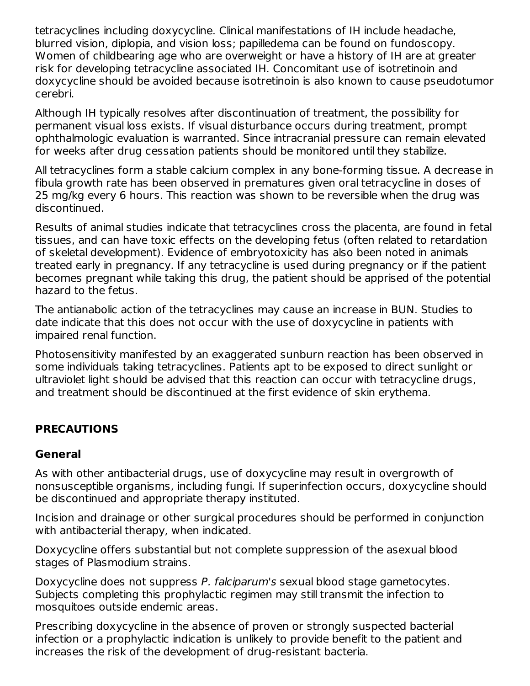tetracyclines including doxycycline. Clinical manifestations of IH include headache, blurred vision, diplopia, and vision loss; papilledema can be found on fundoscopy. Women of childbearing age who are overweight or have a history of IH are at greater risk for developing tetracycline associated IH. Concomitant use of isotretinoin and doxycycline should be avoided because isotretinoin is also known to cause pseudotumor cerebri.

Although IH typically resolves after discontinuation of treatment, the possibility for permanent visual loss exists. If visual disturbance occurs during treatment, prompt ophthalmologic evaluation is warranted. Since intracranial pressure can remain elevated for weeks after drug cessation patients should be monitored until they stabilize.

All tetracyclines form a stable calcium complex in any bone-forming tissue. A decrease in fibula growth rate has been observed in prematures given oral tetracycline in doses of 25 mg/kg every 6 hours. This reaction was shown to be reversible when the drug was discontinued.

Results of animal studies indicate that tetracyclines cross the placenta, are found in fetal tissues, and can have toxic effects on the developing fetus (often related to retardation of skeletal development). Evidence of embryotoxicity has also been noted in animals treated early in pregnancy. If any tetracycline is used during pregnancy or if the patient becomes pregnant while taking this drug, the patient should be apprised of the potential hazard to the fetus.

The antianabolic action of the tetracyclines may cause an increase in BUN. Studies to date indicate that this does not occur with the use of doxycycline in patients with impaired renal function.

Photosensitivity manifested by an exaggerated sunburn reaction has been observed in some individuals taking tetracyclines. Patients apt to be exposed to direct sunlight or ultraviolet light should be advised that this reaction can occur with tetracycline drugs, and treatment should be discontinued at the first evidence of skin erythema.

### **PRECAUTIONS**

#### **General**

As with other antibacterial drugs, use of doxycycline may result in overgrowth of nonsusceptible organisms, including fungi. If superinfection occurs, doxycycline should be discontinued and appropriate therapy instituted.

Incision and drainage or other surgical procedures should be performed in conjunction with antibacterial therapy, when indicated.

Doxycycline offers substantial but not complete suppression of the asexual blood stages of Plasmodium strains.

Doxycycline does not suppress P. falciparum's sexual blood stage gametocytes. Subjects completing this prophylactic regimen may still transmit the infection to mosquitoes outside endemic areas.

Prescribing doxycycline in the absence of proven or strongly suspected bacterial infection or a prophylactic indication is unlikely to provide benefit to the patient and increases the risk of the development of drug-resistant bacteria.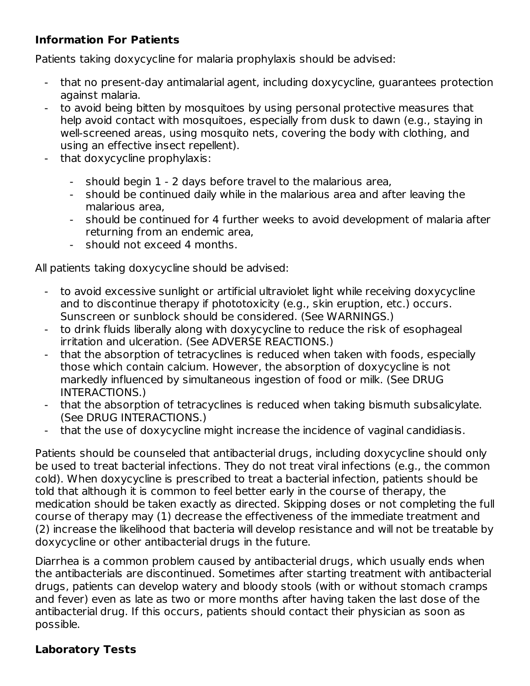### **Information For Patients**

Patients taking doxycycline for malaria prophylaxis should be advised:

- that no present-day antimalarial agent, including doxycycline, guarantees protection against malaria.
- to avoid being bitten by mosquitoes by using personal protective measures that help avoid contact with mosquitoes, especially from dusk to dawn (e.g., staying in well-screened areas, using mosquito nets, covering the body with clothing, and using an effective insect repellent).
- that doxycycline prophylaxis:
	- should begin 1 - 2 days before travel to the malarious area,
	- should be continued daily while in the malarious area and after leaving the malarious area,
	- should be continued for 4 further weeks to avoid development of malaria after returning from an endemic area,
	- should not exceed 4 months.

All patients taking doxycycline should be advised:

- to avoid excessive sunlight or artificial ultraviolet light while receiving doxycycline and to discontinue therapy if phototoxicity (e.g., skin eruption, etc.) occurs. Sunscreen or sunblock should be considered. (See WARNINGS.)
- to drink fluids liberally along with doxycycline to reduce the risk of esophageal irritation and ulceration. (See ADVERSE REACTIONS.)
- that the absorption of tetracyclines is reduced when taken with foods, especially those which contain calcium. However, the absorption of doxycycline is not markedly influenced by simultaneous ingestion of food or milk. (See DRUG INTERACTIONS.)
- that the absorption of tetracyclines is reduced when taking bismuth subsalicylate. (See DRUG INTERACTIONS.)
- that the use of doxycycline might increase the incidence of vaginal candidiasis.

Patients should be counseled that antibacterial drugs, including doxycycline should only be used to treat bacterial infections. They do not treat viral infections (e.g., the common cold). When doxycycline is prescribed to treat a bacterial infection, patients should be told that although it is common to feel better early in the course of therapy, the medication should be taken exactly as directed. Skipping doses or not completing the full course of therapy may (1) decrease the effectiveness of the immediate treatment and (2) increase the likelihood that bacteria will develop resistance and will not be treatable by doxycycline or other antibacterial drugs in the future.

Diarrhea is a common problem caused by antibacterial drugs, which usually ends when the antibacterials are discontinued. Sometimes after starting treatment with antibacterial drugs, patients can develop watery and bloody stools (with or without stomach cramps and fever) even as late as two or more months after having taken the last dose of the antibacterial drug. If this occurs, patients should contact their physician as soon as possible.

### **Laboratory Tests**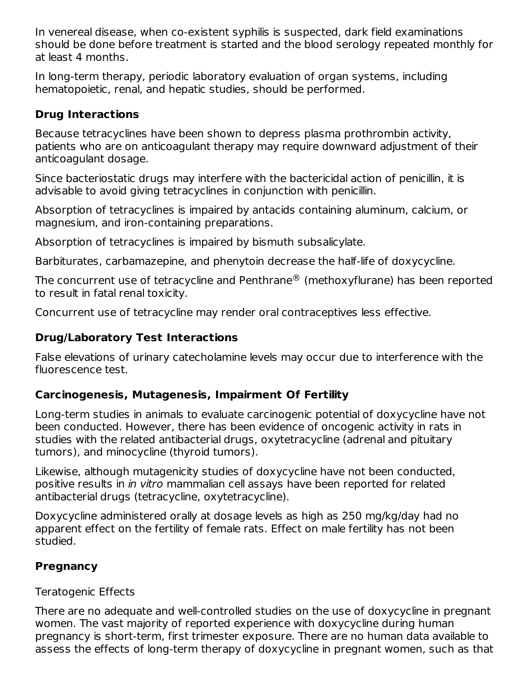In venereal disease, when co-existent syphilis is suspected, dark field examinations should be done before treatment is started and the blood serology repeated monthly for at least 4 months.

In long-term therapy, periodic laboratory evaluation of organ systems, including hematopoietic, renal, and hepatic studies, should be performed.

### **Drug Interactions**

Because tetracyclines have been shown to depress plasma prothrombin activity, patients who are on anticoagulant therapy may require downward adjustment of their anticoagulant dosage.

Since bacteriostatic drugs may interfere with the bactericidal action of penicillin, it is advisable to avoid giving tetracyclines in conjunction with penicillin.

Absorption of tetracyclines is impaired by antacids containing aluminum, calcium, or magnesium, and iron-containing preparations.

Absorption of tetracyclines is impaired by bismuth subsalicylate.

Barbiturates, carbamazepine, and phenytoin decrease the half-life of doxycycline.

The concurrent use of tetracycline and Penthrane $^\circledR$  (methoxyflurane) has been reported to result in fatal renal toxicity.

Concurrent use of tetracycline may render oral contraceptives less effective.

# **Drug/Laboratory Test Interactions**

False elevations of urinary catecholamine levels may occur due to interference with the fluorescence test.

## **Carcinogenesis, Mutagenesis, Impairment Of Fertility**

Long-term studies in animals to evaluate carcinogenic potential of doxycycline have not been conducted. However, there has been evidence of oncogenic activity in rats in studies with the related antibacterial drugs, oxytetracycline (adrenal and pituitary tumors), and minocycline (thyroid tumors).

Likewise, although mutagenicity studies of doxycycline have not been conducted, positive results in in vitro mammalian cell assays have been reported for related antibacterial drugs (tetracycline, oxytetracycline).

Doxycycline administered orally at dosage levels as high as 250 mg/kg/day had no apparent effect on the fertility of female rats. Effect on male fertility has not been studied.

## **Pregnancy**

### Teratogenic Effects

There are no adequate and well-controlled studies on the use of doxycycline in pregnant women. The vast majority of reported experience with doxycycline during human pregnancy is short-term, first trimester exposure. There are no human data available to assess the effects of long-term therapy of doxycycline in pregnant women, such as that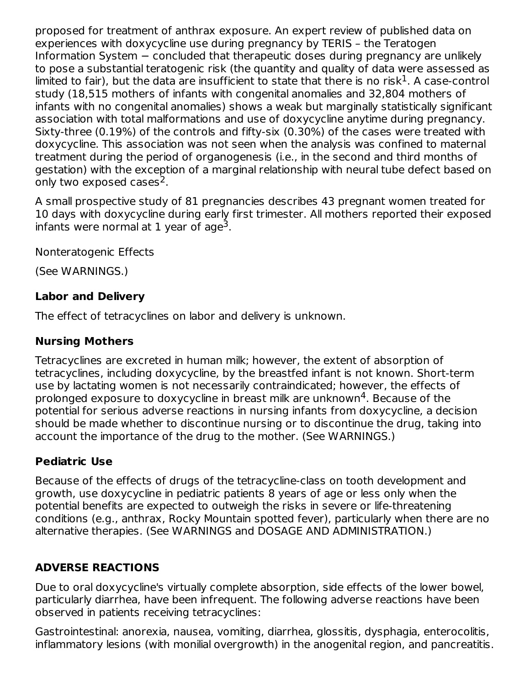proposed for treatment of anthrax exposure. An expert review of published data on experiences with doxycycline use during pregnancy by TERIS – the Teratogen Information System – concluded that therapeutic doses during pregnancy are unlikely to pose a substantial teratogenic risk (the quantity and quality of data were assessed as limited to fair), but the data are insufficient to state that there is no risk $^1$ . A case-control study (18,515 mothers of infants with congenital anomalies and 32,804 mothers of infants with no congenital anomalies) shows a weak but marginally statistically significant association with total malformations and use of doxycycline anytime during pregnancy. Sixty-three (0.19%) of the controls and fifty-six (0.30%) of the cases were treated with doxycycline. This association was not seen when the analysis was confined to maternal treatment during the period of organogenesis (i.e., in the second and third months of gestation) with the exception of a marginal relationship with neural tube defect based on only two exposed cases<sup>2</sup>.

A small prospective study of 81 pregnancies describes 43 pregnant women treated for 10 days with doxycycline during early first trimester. All mothers reported their exposed infants were normal at 1 year of age<sup>3</sup>.

Nonteratogenic Effects

(See WARNINGS.)

### **Labor and Delivery**

The effect of tetracyclines on labor and delivery is unknown.

### **Nursing Mothers**

Tetracyclines are excreted in human milk; however, the extent of absorption of tetracyclines, including doxycycline, by the breastfed infant is not known. Short-term use by lactating women is not necessarily contraindicated; however, the effects of prolonged exposure to doxycycline in breast milk are unknown $4$ . Because of the potential for serious adverse reactions in nursing infants from doxycycline, a decision should be made whether to discontinue nursing or to discontinue the drug, taking into account the importance of the drug to the mother. (See WARNINGS.)

## **Pediatric Use**

Because of the effects of drugs of the tetracycline-class on tooth development and growth, use doxycycline in pediatric patients 8 years of age or less only when the potential benefits are expected to outweigh the risks in severe or life-threatening conditions (e.g., anthrax, Rocky Mountain spotted fever), particularly when there are no alternative therapies. (See WARNINGS and DOSAGE AND ADMINISTRATION.)

# **ADVERSE REACTIONS**

Due to oral doxycycline's virtually complete absorption, side effects of the lower bowel, particularly diarrhea, have been infrequent. The following adverse reactions have been observed in patients receiving tetracyclines:

Gastrointestinal: anorexia, nausea, vomiting, diarrhea, glossitis, dysphagia, enterocolitis, inflammatory lesions (with monilial overgrowth) in the anogenital region, and pancreatitis.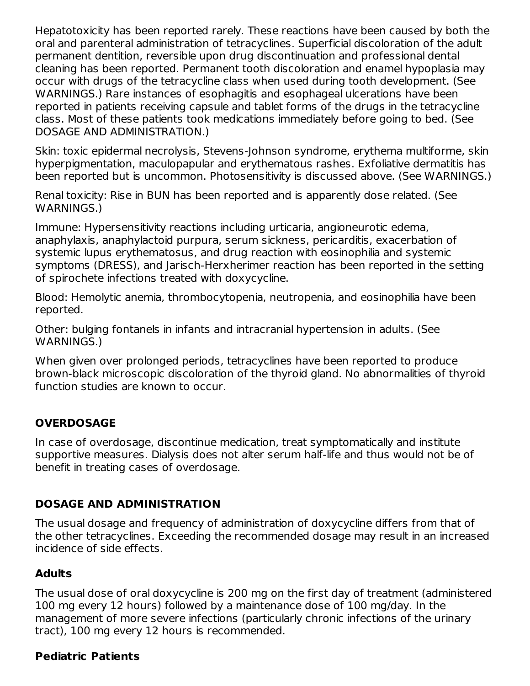Hepatotoxicity has been reported rarely. These reactions have been caused by both the oral and parenteral administration of tetracyclines. Superficial discoloration of the adult permanent dentition, reversible upon drug discontinuation and professional dental cleaning has been reported. Permanent tooth discoloration and enamel hypoplasia may occur with drugs of the tetracycline class when used during tooth development. (See WARNINGS.) Rare instances of esophagitis and esophageal ulcerations have been reported in patients receiving capsule and tablet forms of the drugs in the tetracycline class. Most of these patients took medications immediately before going to bed. (See DOSAGE AND ADMINISTRATION.)

Skin: toxic epidermal necrolysis, Stevens-Johnson syndrome, erythema multiforme, skin hyperpigmentation, maculopapular and erythematous rashes. Exfoliative dermatitis has been reported but is uncommon. Photosensitivity is discussed above. (See WARNINGS.)

Renal toxicity: Rise in BUN has been reported and is apparently dose related. (See WARNINGS.)

Immune: Hypersensitivity reactions including urticaria, angioneurotic edema, anaphylaxis, anaphylactoid purpura, serum sickness, pericarditis, exacerbation of systemic lupus erythematosus, and drug reaction with eosinophilia and systemic symptoms (DRESS), and Jarisch-Herxherimer reaction has been reported in the setting of spirochete infections treated with doxycycline.

Blood: Hemolytic anemia, thrombocytopenia, neutropenia, and eosinophilia have been reported.

Other: bulging fontanels in infants and intracranial hypertension in adults. (See WARNINGS.)

When given over prolonged periods, tetracyclines have been reported to produce brown-black microscopic discoloration of the thyroid gland. No abnormalities of thyroid function studies are known to occur.

### **OVERDOSAGE**

In case of overdosage, discontinue medication, treat symptomatically and institute supportive measures. Dialysis does not alter serum half-life and thus would not be of benefit in treating cases of overdosage.

### **DOSAGE AND ADMINISTRATION**

The usual dosage and frequency of administration of doxycycline differs from that of the other tetracyclines. Exceeding the recommended dosage may result in an increased incidence of side effects.

### **Adults**

The usual dose of oral doxycycline is 200 mg on the first day of treatment (administered 100 mg every 12 hours) followed by a maintenance dose of 100 mg/day. In the management of more severe infections (particularly chronic infections of the urinary tract), 100 mg every 12 hours is recommended.

#### **Pediatric Patients**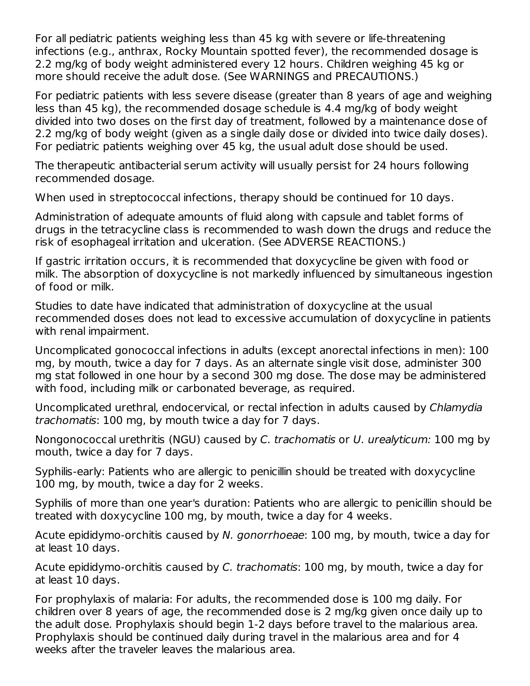For all pediatric patients weighing less than 45 kg with severe or life-threatening infections (e.g., anthrax, Rocky Mountain spotted fever), the recommended dosage is 2.2 mg/kg of body weight administered every 12 hours. Children weighing 45 kg or more should receive the adult dose. (See WARNINGS and PRECAUTIONS.)

For pediatric patients with less severe disease (greater than 8 years of age and weighing less than 45 kg), the recommended dosage schedule is 4.4 mg/kg of body weight divided into two doses on the first day of treatment, followed by a maintenance dose of 2.2 mg/kg of body weight (given as a single daily dose or divided into twice daily doses). For pediatric patients weighing over 45 kg, the usual adult dose should be used.

The therapeutic antibacterial serum activity will usually persist for 24 hours following recommended dosage.

When used in streptococcal infections, therapy should be continued for 10 days.

Administration of adequate amounts of fluid along with capsule and tablet forms of drugs in the tetracycline class is recommended to wash down the drugs and reduce the risk of esophageal irritation and ulceration. (See ADVERSE REACTIONS.)

If gastric irritation occurs, it is recommended that doxycycline be given with food or milk. The absorption of doxycycline is not markedly influenced by simultaneous ingestion of food or milk.

Studies to date have indicated that administration of doxycycline at the usual recommended doses does not lead to excessive accumulation of doxycycline in patients with renal impairment.

Uncomplicated gonococcal infections in adults (except anorectal infections in men): 100 mg, by mouth, twice a day for 7 days. As an alternate single visit dose, administer 300 mg stat followed in one hour by a second 300 mg dose. The dose may be administered with food, including milk or carbonated beverage, as required.

Uncomplicated urethral, endocervical, or rectal infection in adults caused by Chlamydia trachomatis: 100 mg, by mouth twice a day for 7 days.

Nongonococcal urethritis (NGU) caused by C. trachomatis or U. urealyticum: 100 mg by mouth, twice a day for 7 days.

Syphilis-early: Patients who are allergic to penicillin should be treated with doxycycline 100 mg, by mouth, twice a day for 2 weeks.

Syphilis of more than one year's duration: Patients who are allergic to penicillin should be treated with doxycycline 100 mg, by mouth, twice a day for 4 weeks.

Acute epididymo-orchitis caused by N. gonorrhoeae: 100 mg, by mouth, twice a day for at least 10 days.

Acute epididymo-orchitis caused by C. trachomatis: 100 mg, by mouth, twice a day for at least 10 days.

For prophylaxis of malaria: For adults, the recommended dose is 100 mg daily. For children over 8 years of age, the recommended dose is 2 mg/kg given once daily up to the adult dose. Prophylaxis should begin 1-2 days before travel to the malarious area. Prophylaxis should be continued daily during travel in the malarious area and for 4 weeks after the traveler leaves the malarious area.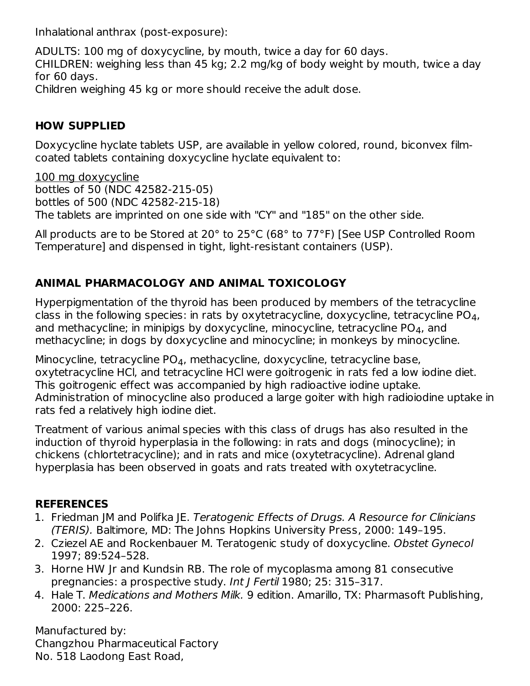Inhalational anthrax (post-exposure):

ADULTS: 100 mg of doxycycline, by mouth, twice a day for 60 days. CHILDREN: weighing less than 45 kg; 2.2 mg/kg of body weight by mouth, twice a day for 60 days. Children weighing 45 kg or more should receive the adult dose.

### **HOW SUPPLIED**

Doxycycline hyclate tablets USP, are available in yellow colored, round, biconvex filmcoated tablets containing doxycycline hyclate equivalent to:

100 mg doxycycline bottles of 50 (NDC 42582-215-05) bottles of 500 (NDC 42582-215-18) The tablets are imprinted on one side with "CY" and "185" on the other side.

All products are to be Stored at 20° to 25°C (68° to 77°F) [See USP Controlled Room Temperature] and dispensed in tight, light-resistant containers (USP).

## **ANIMAL PHARMACOLOGY AND ANIMAL TOXICOLOGY**

Hyperpigmentation of the thyroid has been produced by members of the tetracycline class in the following species: in rats by oxytetracycline, doxycycline, tetracycline PO $_{\rm 4}$ , and methacycline; in minipigs by doxycycline, minocycline, tetracycline PO $_{\rm 4}$ , and methacycline; in dogs by doxycycline and minocycline; in monkeys by minocycline.

Minocycline, tetracycline PO $_4$ , methacycline, doxycycline, tetracycline base, oxytetracycline HCl, and tetracycline HCl were goitrogenic in rats fed a low iodine diet. This goitrogenic effect was accompanied by high radioactive iodine uptake. Administration of minocycline also produced a large goiter with high radioiodine uptake in rats fed a relatively high iodine diet.

Treatment of various animal species with this class of drugs has also resulted in the induction of thyroid hyperplasia in the following: in rats and dogs (minocycline); in chickens (chlortetracycline); and in rats and mice (oxytetracycline). Adrenal gland hyperplasia has been observed in goats and rats treated with oxytetracycline.

### **REFERENCES**

- 1. Friedman JM and Polifka JE. Teratogenic Effects of Drugs. A Resource for Clinicians (TERIS). Baltimore, MD: The Johns Hopkins University Press, 2000: 149–195.
- 2. Cziezel AE and Rockenbauer M. Teratogenic study of doxycycline. Obstet Gynecol 1997; 89:524–528.
- 3. Horne HW Jr and Kundsin RB. The role of mycoplasma among 81 consecutive pregnancies: a prospective study. Int J Fertil 1980; 25: 315–317.
- 4. Hale T. Medications and Mothers Milk. 9 edition. Amarillo, TX: Pharmasoft Publishing, 2000: 225–226.

Manufactured by: Changzhou Pharmaceutical Factory No. 518 Laodong East Road,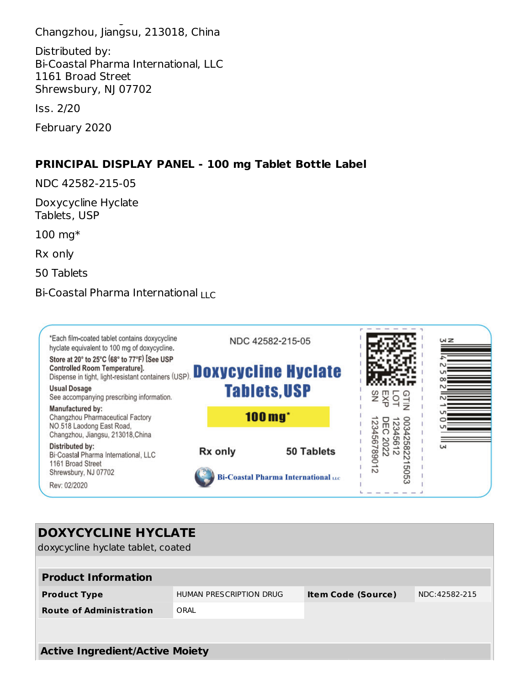No. 518 Laodong East Road, Changzhou, Jiangsu, 213018, China

Distributed by: Bi-Coastal Pharma International, LLC 1161 Broad Street Shrewsbury, NJ 07702

Iss. 2/20

February 2020

#### **PRINCIPAL DISPLAY PANEL - 100 mg Tablet Bottle Label**

NDC 42582-215-05

Doxycycline Hyclate Tablets, USP

100 mg\*

Rx only

50 Tablets

### Bi-Coastal Pharma International <sub>LLC</sub>



| <b>DOXYCYCLINE HYCLATE</b><br>doxycycline hyclate tablet, coated |                         |                           |               |  |  |  |  |  |  |
|------------------------------------------------------------------|-------------------------|---------------------------|---------------|--|--|--|--|--|--|
| <b>Product Information</b>                                       |                         |                           |               |  |  |  |  |  |  |
| <b>Product Type</b>                                              | HUMAN PRESCRIPTION DRUG | <b>Item Code (Source)</b> | NDC:42582-215 |  |  |  |  |  |  |
| <b>Route of Administration</b>                                   | ORAI                    |                           |               |  |  |  |  |  |  |
|                                                                  |                         |                           |               |  |  |  |  |  |  |
| <b>Active Ingredient/Active Moiety</b>                           |                         |                           |               |  |  |  |  |  |  |